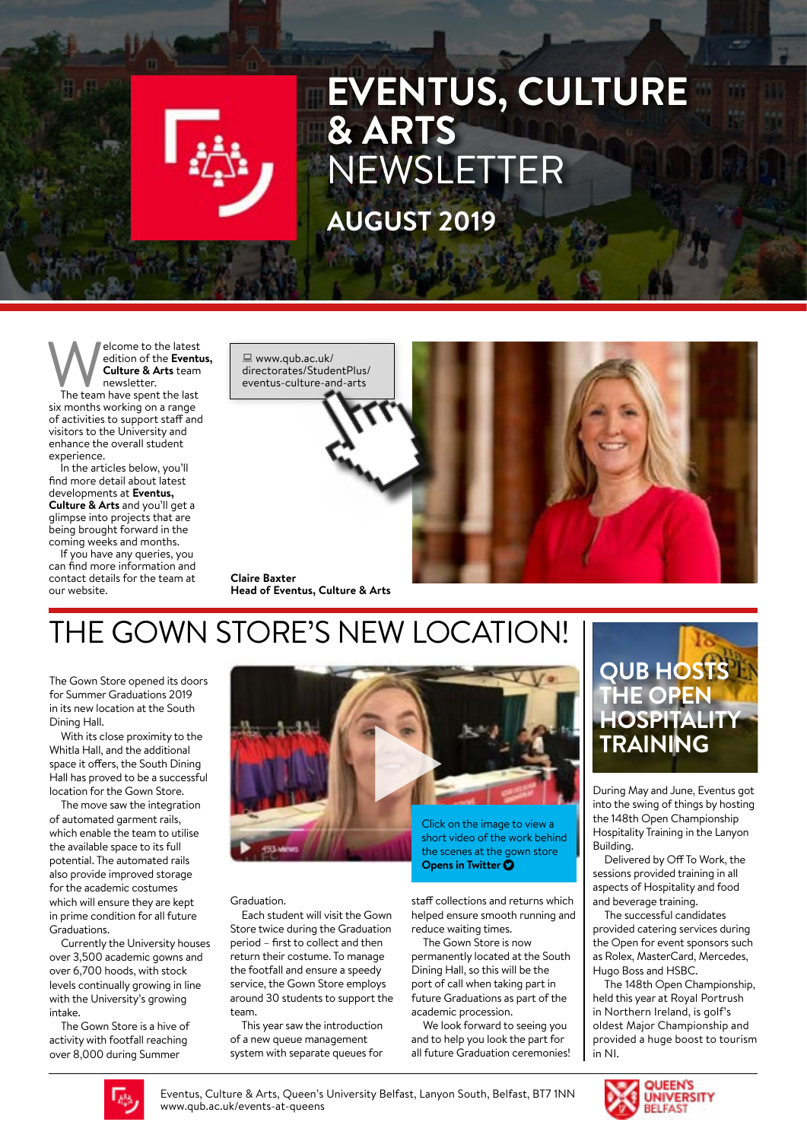## **EVENTUS, CULTURE & ARTS**  NEWSLETTER **AUGUST 2019**

**Welcome to the latest**<br> **Culture & Arts team**<br>
The team have spent the last edition of the **Eventus, Culture & Arts** team newsletter.

six months working on a range of activities to support staff and visitors to the University and enhance the overall student experience.

In the articles below, you'll find more detail about latest developments at **Eventus, Culture & Arts** and you'll get a glimpse into projects that are being brought forward in the coming weeks and months.

If you have any queries, you can find more information and contact details for the team at our website.





**Claire Baxter Head of Eventus, Culture & Arts**

## THE GOWN STORE'S NEW LOCATION!

The Gown Store opened its doors for Summer Graduations 2019 in its new location at the South Dining Hall.

With its close proximity to the Whitla Hall, and the additional space it offers, the South Dining Hall has proved to be a successful location for the Gown Store.

The move saw the integration of automated garment rails, which enable the team to utilise the available space to its full potential. The automated rails also provide improved storage for the academic costumes which will ensure they are kept in prime condition for all future Graduations.

Currently the University houses over 3,500 academic gowns and over 6,700 hoods, with stock levels continually growing in line with the University's growing intake.

The Gown Store is a hive of activity with footfall reaching over 8,000 during Summer



Graduation.

Each student will visit the Gown Store twice during the Graduation period – first to collect and then return their costume. To manage the footfall and ensure a speedy service, the Gown Store employs around 30 students to support the team.

This year saw the introduction of a new queue management system with separate queues for **Opens in Twitter O** 

staff collections and returns which helped ensure smooth running and reduce waiting times.

The Gown Store is now permanently located at the South Dining Hall, so this will be the port of call when taking part in future Graduations as part of the academic procession.

We look forward to seeing you and to help you look the part for all future Graduation ceremonies!



During May and June, Eventus got into the swing of things by hosting the 148th Open Championship Hospitality Training in the Lanyon Building.

Delivered by Off To Work, the sessions provided training in all aspects of Hospitality and food and beverage training.

The successful candidates provided catering services during the Open for event sponsors such as Rolex, MasterCard, Mercedes, Hugo Boss and HSBC.

The 148th Open Championship, held this year at Royal Portrush in Northern Ireland, is golf's oldest Major Championship and provided a huge boost to tourism in NI.



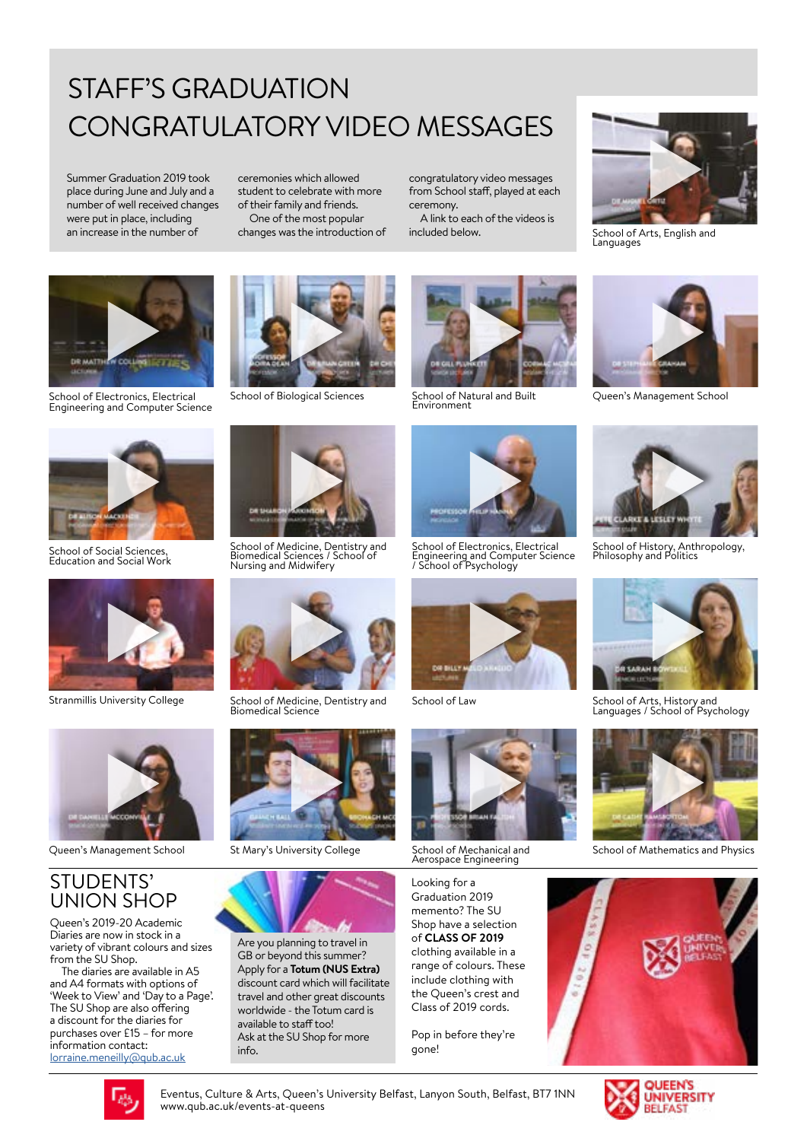## STAFF'S GRADUATION CONGRATULATORY VIDEO MESSAGES

Summer Graduation 2019 took place during June and July and a number of well received changes were put in place, including an increase in the number of

ceremonies which allowed student to celebrate with more of their family and friends. One of the most popular

changes was the introduction of

congratulatory video messages from School staff, played at each ceremony.

A link to each of the videos is included below.



School of Electronics, Electrical Engineering and Computer Science



School of Social Sciences, Education and Social Work



Stranmillis University College



Queen's Management School

#### STUDENTS' UNION SHOP

Queen's 2019-20 Academic Diaries are now in stock in a variety of vibrant colours and sizes from the SU Shop.

The diaries are available in A5 and A4 formats with options of 'Week to View' and 'Day to a Page'. The SU Shop are also offering a discount for the diaries for purchases over £15 – for more information contact: [lorraine.meneilly@qub.ac.uk](mailto:lorraine.meneilly%40qub.ac.uk%20?subject=)



School of Biological Sciences



School of Medicine, Dentistry and Biomedical Sciences / School of Nursing and Midwifery



School of Medicine, Dentistry and Biomedical Science



St Mary's University College



Are you planning to travel in GB or beyond this summer? Apply for a **Totum (NUS Extra)** discount card which will facilitate travel and other great discounts worldwide - the Totum card is available to staff too! Ask at the SU Shop for more info.



School of Natural and Built Environment



School of Electronics, Electrical Engineering and Computer Science / School of Psychology



School of Law



School of Mechanical and Aerospace Engineering

Looking for a Graduation 2019 memento? The SU Shop have a selection of **CLASS OF 2019** clothing available in a range of colours. These include clothing with the Queen's crest and Class of 2019 cords.

Pop in before they're gone!



School of Arts, English and Languages



Queen's Management School



School of History, Anthropology, Philosophy and Politics



School of Arts, History and Languages / School of Psychology



School of Mathematics and Physics



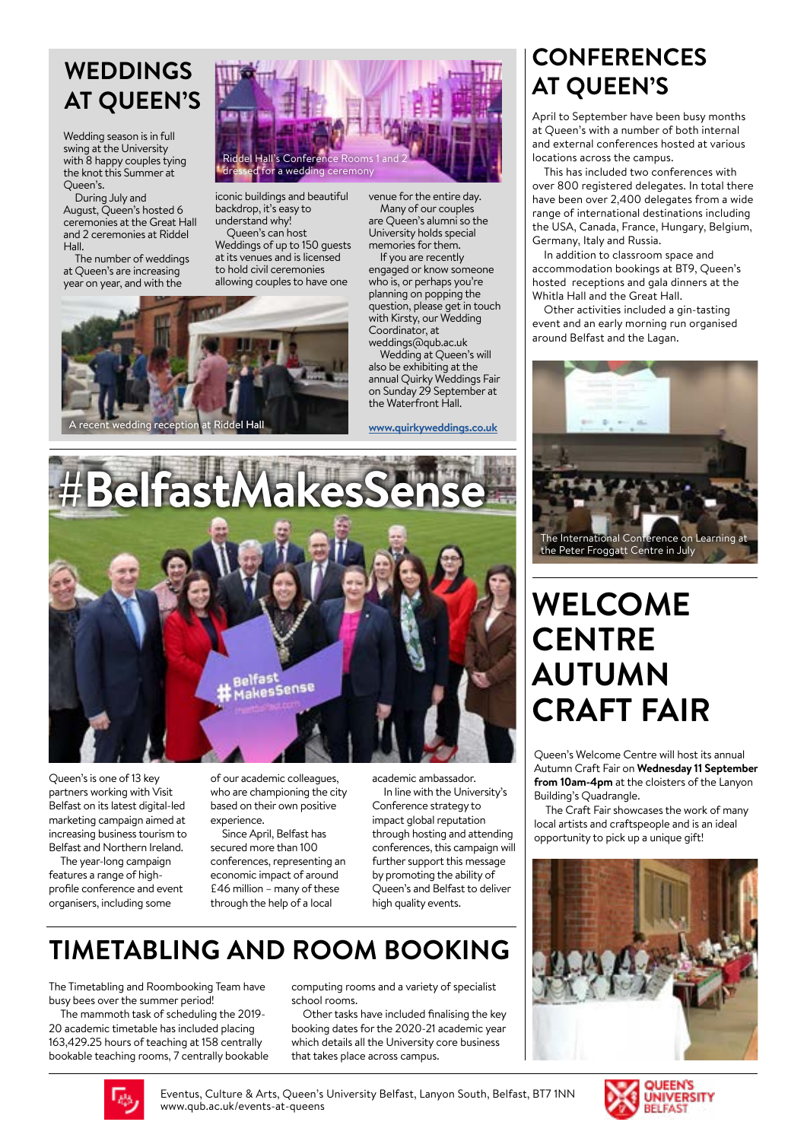#### **WEDDINGS AT QUEEN'S**

Wedding season is in full swing at the University with 8 happy couples tying the knot this Summer at Queen's.

During July and August, Queen's hosted 6 ceremonies at the Great Hall and 2 ceremonies at Riddel Hall.

The number of weddings at Queen's are increasing year on year, and with the



iconic buildings and beautiful backdrop, it's easy to understand why!

Queen's can host Weddings of up to 150 guests at its venues and is licensed to hold civil ceremonies allowing couples to have one



who is, or perhaps you're planning on popping the

venue for the entire day. Many of our couples are Queen's alumni so the University holds special memories for them.

If you are recently engaged or know someone question, please get in touch with Kirsty, our Wedding Coordinator, at weddings@qub.ac.uk

Wedding at Queen's will also be exhibiting at the annual Quirky Weddings Fair on Sunday 29 September at the Waterfront Hall.

#### **[www.quirkyweddings.co.uk](http://www.quirkyweddings.co.uk)**



Queen's is one of 13 key partners working with Visit Belfast on its latest digital-led marketing campaign aimed at increasing business tourism to Belfast and Northern Ireland.

The year-long campaign features a range of highprofile conference and event .<br>organisers, including some

of our academic colleagues, who are championing the city based on their own positive experience.

Since April, Belfast has secured more than 100 conferences, representing an economic impact of around £46 million – many of these through the help of a local

academic ambassador.

In line with the University's Conference strategy to impact global reputation through hosting and attending conferences, this campaign will further support this message by promoting the ability of Queen's and Belfast to deliver high quality events.

#### **TIMETABLING AND ROOM BOOKING**

The Timetabling and Roombooking Team have busy bees over the summer period!

The mammoth task of scheduling the 2019- 20 academic timetable has included placing 163,429.25 hours of teaching at 158 centrally bookable teaching rooms, 7 centrally bookable computing rooms and a variety of specialist school rooms.

Other tasks have included finalising the key booking dates for the 2020-21 academic year which details all the University core business that takes place across campus.

#### **CONFERENCES AT QUEEN'S**

April to September have been busy months at Queen's with a number of both internal and external conferences hosted at various locations across the campus.

This has included two conferences with over 800 registered delegates. In total there have been over 2,400 delegates from a wide range of international destinations including the USA, Canada, France, Hungary, Belgium, Germany, Italy and Russia.

In addition to classroom space and accommodation bookings at BT9, Queen's hosted receptions and gala dinners at the Whitla Hall and the Great Hall.

Other activities included a gin-tasting event and an early morning run organised around Belfast and the Lagan.



#### **WELCOME CENTRE AUTUMN CRAFT FAIR**

Queen's Welcome Centre will host its annual Autumn Craft Fair on **Wednesday 11 September from 10am-4pm** at the cloisters of the Lanyon Building's Quadrangle.

The Craft Fair showcases the work of many local artists and craftspeople and is an ideal opportunity to pick up a unique gift!





Eventus, Culture & Arts, Queen's University Belfast, Lanyon South, Belfast, BT7 1NN www.qub.ac.uk/events-at-queens